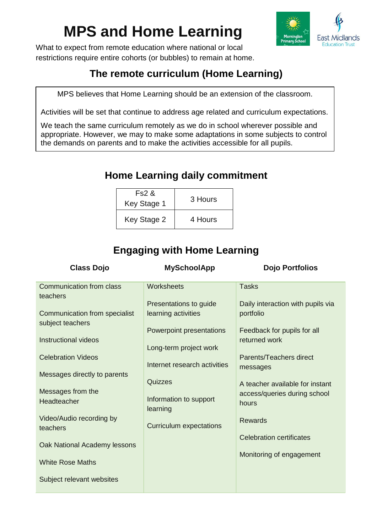# **MPS and Home Learning**



What to expect from remote education where national or local restrictions require entire cohorts (or bubbles) to remain at home.

## **The remote curriculum (Home Learning)**

MPS believes that Home Learning should be an extension of the classroom.

Activities will be set that continue to address age related and curriculum expectations.

We teach the same curriculum remotely as we do in school wherever possible and appropriate. However, we may to make some adaptations in some subjects to control the demands on parents and to make the activities accessible for all pupils.

### **Home Learning daily commitment**

| Fs2 &<br>Key Stage 1 | 3 Hours |
|----------------------|---------|
| Key Stage 2          | 4 Hours |

## **Engaging with Home Learning**

| <b>Class Dojo</b>                                 | <b>MySchoolApp</b>                 | <b>Dojo Portfolios</b>                |
|---------------------------------------------------|------------------------------------|---------------------------------------|
| Communication from class<br>teachers              | Worksheets                         | <b>Tasks</b>                          |
|                                                   | Presentations to guide             | Daily interaction with pupils via     |
| Communication from specialist<br>subject teachers | learning activities                | portfolio                             |
|                                                   | Powerpoint presentations           | Feedback for pupils for all           |
| Instructional videos                              | Long-term project work             | returned work                         |
| <b>Celebration Videos</b>                         | Internet research activities       | Parents/Teachers direct               |
| Messages directly to parents                      |                                    | messages                              |
|                                                   | Quizzes                            | A teacher available for instant       |
| Messages from the<br>Headteacher                  | Information to support<br>learning | access/queries during school<br>hours |
| Video/Audio recording by                          |                                    | <b>Rewards</b>                        |
| teachers                                          | <b>Curriculum expectations</b>     | <b>Celebration certificates</b>       |
| Oak National Academy lessons                      |                                    |                                       |
| <b>White Rose Maths</b>                           |                                    | Monitoring of engagement              |
| Subject relevant websites                         |                                    |                                       |
|                                                   |                                    |                                       |